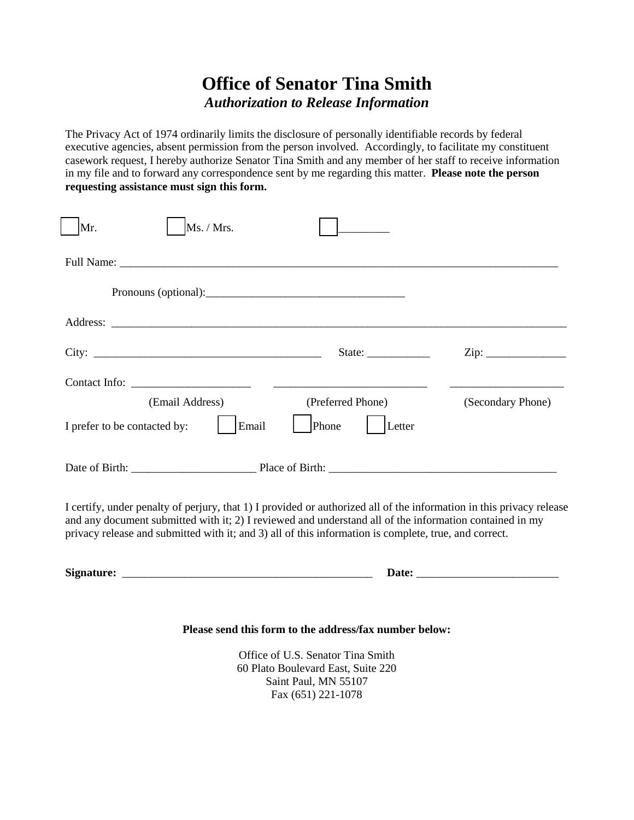## **Office of Senator Tina Smith** *Authorization to Release Information*

The Privacy Act of 1974 ordinarily limits the disclosure of personally identifiable records by federal executive agencies, absent permission from the person involved. Accordingly, to facilitate my constituent casework request, I hereby authorize Senator Tina Smith and any member of her staff to receive information in my file and to forward any correspondence sent by me regarding this matter. **Please note the person requesting assistance must sign this form.**

| Ms. / Mrs.<br>Mr.                                                                                                                                                                                                                                                                                                                        |                                          |                   |  |  |
|------------------------------------------------------------------------------------------------------------------------------------------------------------------------------------------------------------------------------------------------------------------------------------------------------------------------------------------|------------------------------------------|-------------------|--|--|
|                                                                                                                                                                                                                                                                                                                                          |                                          |                   |  |  |
|                                                                                                                                                                                                                                                                                                                                          |                                          |                   |  |  |
|                                                                                                                                                                                                                                                                                                                                          |                                          |                   |  |  |
|                                                                                                                                                                                                                                                                                                                                          | State: $\frac{\phantom{1}}{\phantom{1}}$ |                   |  |  |
|                                                                                                                                                                                                                                                                                                                                          |                                          |                   |  |  |
| (Email Address)                                                                                                                                                                                                                                                                                                                          | (Preferred Phone)                        | (Secondary Phone) |  |  |
| I prefer to be contacted by:<br>Email                                                                                                                                                                                                                                                                                                    | Phone<br>Letter                          |                   |  |  |
|                                                                                                                                                                                                                                                                                                                                          |                                          |                   |  |  |
| I certify, under penalty of perjury, that 1) I provided or authorized all of the information in this privacy release<br>and any document submitted with it; 2) I reviewed and understand all of the information contained in my<br>privacy release and submitted with it; and 3) all of this information is complete, true, and correct. |                                          |                   |  |  |
|                                                                                                                                                                                                                                                                                                                                          |                                          |                   |  |  |
|                                                                                                                                                                                                                                                                                                                                          |                                          |                   |  |  |

## **Please send this form to the address/fax number below:**

Office of U.S. Senator Tina Smith 60 Plato Boulevard East, Suite 220 Saint Paul, MN 55107 Fax (651) 221-1078